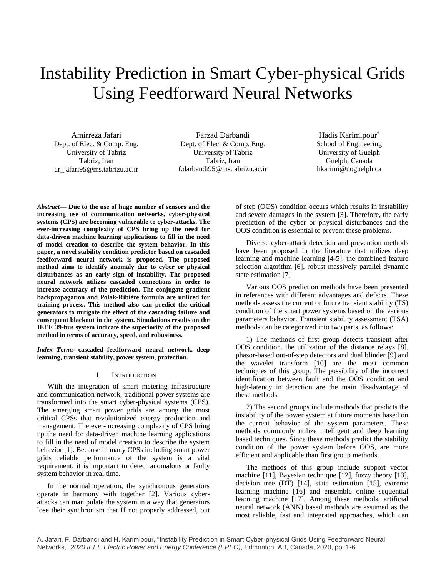# Instability Prediction in Smart Cyber-physical Grids Using Feedforward Neural Networks

Amirreza Jafari Dept. of Elec. & Comp. Eng. University of Tabriz Tabriz, Iran ar\_jafari95@ms.tabrizu.ac.ir

Farzad Darbandi Dept. of Elec. & Comp. Eng. University of Tabriz Tabriz, Iran f.darbandi95@ms.tabrizu.ac.ir

Hadis Karimipour† School of Engineering University of Guelph Guelph, Canada hkarimi@uoguelph.ca

*Abstract***— Due to the use of huge number of sensors and the increasing use of communication networks, cyber-physical systems (CPS) are becoming vulnerable to cyber-attacks. The ever-increasing complexity of CPS bring up the need for data-driven machine learning applications to fill in the need of model creation to describe the system behavior. In this paper, a novel stability condition predictor based on cascaded feedforward neural network is proposed. The proposed method aims to identify anomaly due to cyber or physical disturbances as an early sign of instability. The proposed neural network utilizes cascaded connections in order to increase accuracy of the prediction. The conjugate gradient backpropagation and Polak-Ribière formula are utilized for training process. This method also can predict the critical generators to mitigate the effect of the cascading failure and consequent blackout in the system. Simulations results on the IEEE 39-bus system indicate the superiority of the proposed method in terms of accuracy, speed, and robustness.**

*Index Terms***--cascaded feedforward neural network, deep learning, transient stability, power system, protection.**

## I. INTRODUCTION

With the integration of smart metering infrastructure and communication network, traditional power systems are transformed into the smart cyber-physical systems (CPS). The emerging smart power grids are among the most critical CPSs that revolutionized energy production and management. The ever-increasing complexity of CPS bring up the need for data-driven machine learning applications to fill in the need of model creation to describe the system behavior [1]. Because in many CPSs including smart power grids reliable performance of the system is a vital requirement, it is important to detect anomalous or faulty system behavior in real time.

In the normal operation, the synchronous generators operate in harmony with together [2]. Various cyberattacks can manipulate the system in a way that generators lose their synchronism that If not properly addressed, out of step (OOS) condition occurs which results in instability and severe damages in the system [3]. Therefore, the early prediction of the cyber or physical disturbances and the OOS condition is essential to prevent these problems.

Diverse cyber-attack detection and prevention methods have been proposed in the literature that utilizes deep learning and machine learning [4-5]. the combined feature selection algorithm [6], robust massively parallel dynamic state estimation [7]

Various OOS prediction methods have been presented in references with different advantages and defects. These methods assess the current or future transient stability (TS) condition of the smart power systems based on the various parameters behavior. Transient stability assessment (TSA) methods can be categorized into two parts, as follows:

1) The methods of first group detects transient after OOS condition. the utilization of the distance relays [8], phasor-based out-of-step detectors and dual blinder [9] and the wavelet transform [10] are the most common techniques of this group. The possibility of the incorrect identification between fault and the OOS condition and high-latency in detection are the main disadvantage of these methods.

2) The second groups include methods that predicts the instability of the power system at future moments based on the current behavior of the system parameters. These methods commonly utilize intelligent and deep learning based techniques. Since these methods predict the stability condition of the power system before OOS, are more efficient and applicable than first group methods.

The methods of this group include support vector machine [11], Bayesian technique [12], fuzzy theory [13], decision tree (DT) [14], state estimation [15], extreme learning machine [16] and ensemble online sequential learning machine [17]. Among these methods, artificial neural network (ANN) based methods are assumed as the most reliable, fast and integrated approaches, which can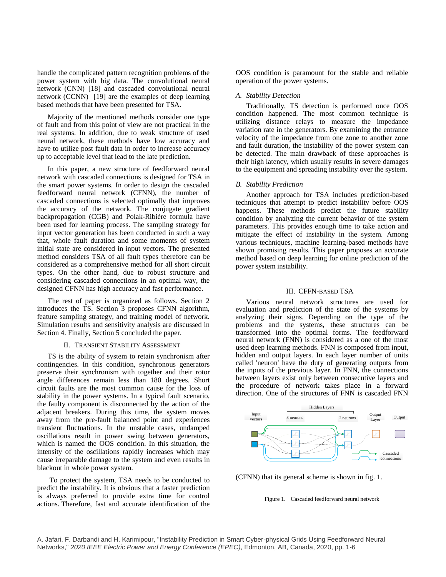handle the complicated pattern recognition problems of the power system with big data. The convolutional neural network (CNN) [18] and cascaded convolutional neural network (CCNN) [19] are the examples of deep learning based methods that have been presented for TSA.

Majority of the mentioned methods consider one type of fault and from this point of view are not practical in the real systems. In addition, due to weak structure of used neural network, these methods have low accuracy and have to utilize post fault data in order to increase accuracy up to acceptable level that lead to the late prediction.

In this paper, a new structure of feedforward neural network with cascaded connections is designed for TSA in the smart power systems. In order to design the cascaded feedforward neural network (CFNN), the number of cascaded connections is selected optimally that improves the accuracy of the network. The conjugate gradient backpropagation (CGB) and Polak-Ribière formula have been used for learning process. The sampling strategy for input vector generation has been conducted in such a way that, whole fault duration and some moments of system initial state are considered in input vectors. The presented method considers TSA of all fault types therefore can be considered as a comprehensive method for all short circuit types. On the other hand, due to robust structure and considering cascaded connections in an optimal way, the designed CFNN has high accuracy and fast performance.

The rest of paper is organized as follows. Section 2 introduces the TS. Section 3 proposes CFNN algorithm, feature sampling strategy, and training model of network. Simulation results and sensitivity analysis are discussed in Section 4. Finally, Section 5 concluded the paper.

## II. TRANSIENT STABILITY ASSESSMENT

TS is the ability of system to retain synchronism after contingencies. In this condition, synchronous generators preserve their synchronism with together and their rotor angle differences remain less than 180 degrees. Short circuit faults are the most common cause for the loss of stability in the power systems. In a typical fault scenario, the faulty component is disconnected by the action of the adjacent breakers. During this time, the system moves away from the pre-fault balanced point and experiences transient fluctuations. In the unstable cases, undamped oscillations result in power swing between generators, which is named the OOS condition. In this situation, the intensity of the oscillations rapidly increases which may cause irreparable damage to the system and even results in blackout in whole power system.

To protect the system, TSA needs to be conducted to predict the instability. It is obvious that a faster prediction is always preferred to provide extra time for control actions. Therefore, fast and accurate identification of the

OOS condition is paramount for the stable and reliable operation of the power systems.

## *A. Stability Detection*

Traditionally, TS detection is performed once OOS condition happened. The most common technique is utilizing distance relays to measure the impedance variation rate in the generators. By examining the entrance velocity of the impedance from one zone to another zone and fault duration, the instability of the power system can be detected. The main drawback of these approaches is their high latency, which usually results in severe damages to the equipment and spreading instability over the system.

## *B. Stability Prediction*

Another approach for TSA includes prediction-based techniques that attempt to predict instability before OOS happens. These methods predict the future stability condition by analyzing the current behavior of the system parameters. This provides enough time to take action and mitigate the effect of instability in the system. Among various techniques, machine learning-based methods have shown promising results. This paper proposes an accurate method based on deep learning for online prediction of the power system instability.

## III. CFFN-BASED TSA

Various neural network structures are used for evaluation and prediction of the state of the systems by analyzing their signs. Depending on the type of the problems and the systems, these structures can be transformed into the optimal forms. The feedforward neural network (FNN) is considered as a one of the most used deep learning methods. FNN is composed from input, hidden and output layers. In each layer number of units called 'neuron' have the duty of generating outputs from the inputs of the previous layer. In FNN, the connections between layers exist only between consecutive layers and the procedure of network takes place in a forward direction. One of the structures of FNN is cascaded FNN



(CFNN) that its general scheme is shown in fig. 1.

#### Figure 1. Cascaded feedforward neural network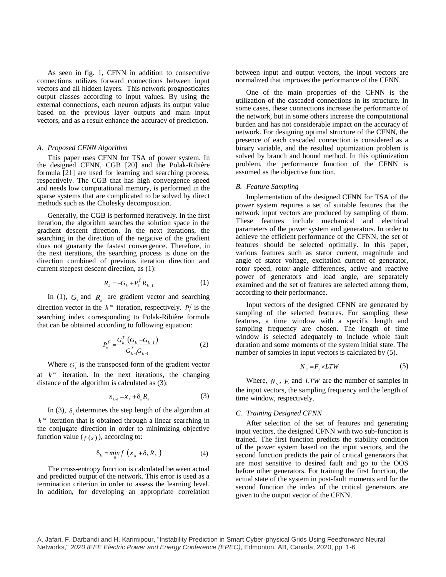As seen in fig. 1, CFNN in addition to consecutive connections utilizes forward connections between input vectors and all hidden layers. This network prognosticates output classes according to input values. By using the external connections, each neuron adjusts its output value based on the previous layer outputs and main input vectors, and as a result enhance the accuracy of prediction.

## *A. Proposed CFNN Algorithm*

This paper uses CFNN for TSA of power system. In the designed CFNN, CGB [20] and the [Polak-Ribière](https://en.wikipedia.org/wiki/Nonlinear_conjugate_gradient_method) formula [21] are used for learning and searching process, respectively. The CGB that has high convergence speed and needs low computational memory, is performed in the [sparse](https://en.wikipedia.org/wiki/Sparse_matrix) systems that are complicated to be solved by direct methods such as the [Cholesky decomposition.](https://en.wikipedia.org/wiki/Cholesky_decomposition)

Generally, the CGB is performed iteratively. In the first iteration, the algorithm searches the solution space in the gradient descent direction. In the next iterations, the searching in the direction of the negative of the gradient does not guaranty the fastest convergence. Therefore, in the next iterations, the searching process is done on the direction combined of previous iteration direction and current steepest descent direction, as (1):

$$
R_k = -G_k + P_k^f R_{k-1}
$$
 (1)

In (1),  $G_k$  and  $R_k$  are gradient vector and searching direction vector in the  $k^{\#}$  iteration, respectively.  $P_k^f$  is the searching index corresponding to Polak-Ribière formula that can be obtained according to following equation:

$$
P_k^f = \frac{G_k^T (G_k - G_{k-1})}{G_{k-1}^T G_{k-1}}
$$
 (2)

Where  $G_k^T$  is the transposed form of the gradient vector at  $k^{\mu}$  iteration. In the next iterations, the changing distance of the algorithm is calculated as (3):

$$
x_{k+1} = x_k + \delta_k R_k \tag{3}
$$

In (3),  $\delta_k$  determines the step length of the algorithm at  $k<sup>th</sup>$  iteration that is obtained through a linear searching in the conjugate direction in order to minimizing objective function value  $(f(x))$ , according to:

$$
\delta_k = \min_{\delta} f\left(x_k + \delta_k R_k\right) \tag{4}
$$

The cross-entropy function is calculated between actual and predicted output of the network. This error is used as a termination criterion in order to assess the learning level. In addition, for developing an appropriate correlation

between input and output vectors, the input vectors are normalized that improves the performance of the CFNN.

One of the main properties of the CFNN is the utilization of the cascaded connections in its structure. In some cases, these connections increase the performance of the network, but in some others increase the computational burden and has not considerable impact on the accuracy of network. For designing optimal structure of the CFNN, the presence of each cascaded connection is considered as a binary variable, and the resulted optimization problem is solved by branch and bound method. In this optimization problem, the performance function of the CFNN is assumed as the objective function.

#### *B. Feature Sampling*

Implementation of the designed CFNN for TSA of the power system requires a set of suitable features that the network input vectors are produced by sampling of them. These features include mechanical and electrical parameters of the power system and generators. In order to achieve the efficient performance of the CFNN, the set of features should be selected optimally. In this paper, various features such as stator current, magnitude and angle of stator voltage, excitation current of generator, rotor speed, rotor angle differences, active and reactive power of generators and load angle, are separately examined and the set of features are selected among them, according to their performance.

Input vectors of the designed CFNN are generated by sampling of the selected features. For sampling these features, a time window with a specific length and sampling frequency are chosen. The length of time window is selected adequately to include whole fault duration and some moments of the system initial state. The number of samples in input vectors is calculated by (5).

$$
N_s = F_s \times LTW
$$
 (5)

Where,  $N_s$ ,  $F_s$  and *LTW* are the number of samples in the input vectors, the sampling frequency and the length of time window, respectively.

## *C. Training Designed CFNN*

After selection of the set of features and generating input vectors, the designed CFNN with two sub-function is trained. The first function predicts the stability condition of the power system based on the input vectors, and the second function predicts the pair of critical generators that are most sensitive to desired fault and go to the OOS before other generators. For training the first function, the actual state of the system in post-fault moments and for the second function the index of the critical generators are given to the output vector of the CFNN.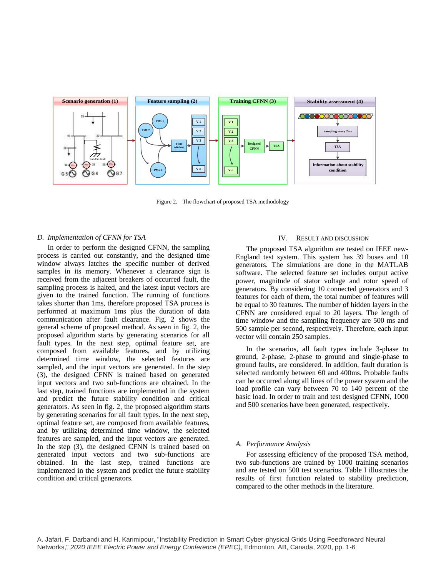

Figure 2. The flowchart of proposed TSA methodology

## *D. Implementation of CFNN for TSA*

In order to perform the designed CFNN, the sampling process is carried out constantly, and the designed time window always latches the specific number of derived samples in its memory. Whenever a clearance sign is received from the adjacent breakers of occurred fault, the sampling process is halted, and the latest input vectors are given to the trained function. The running of functions takes shorter than 1ms, therefore proposed TSA process is performed at maximum 1ms plus the duration of data communication after fault clearance. Fig. 2 shows the general scheme of proposed method. As seen in fig. 2, the proposed algorithm starts by generating scenarios for all fault types. In the next step, optimal feature set, are composed from available features, and by utilizing determined time window, the selected features are sampled, and the input vectors are generated. In the step (3), the designed CFNN is trained based on generated input vectors and two sub-functions are obtained. In the last step, trained functions are implemented in the system and predict the future stability condition and critical generators. As seen in fig. 2, the proposed algorithm starts by generating scenarios for all fault types. In the next step, optimal feature set, are composed from available features, and by utilizing determined time window, the selected features are sampled, and the input vectors are generated. In the step (3), the designed CFNN is trained based on generated input vectors and two sub-functions are obtained. In the last step, trained functions are implemented in the system and predict the future stability condition and critical generators.

## IV. RESULT AND DISCUSSION

The proposed TSA algorithm are tested on IEEE new-England test system. This system has 39 buses and 10 generators. The simulations are done in the MATLAB software. The selected feature set includes output active power, magnitude of stator voltage and rotor speed of generators. By considering 10 connected generators and 3 features for each of them, the total number of features will be equal to 30 features. The number of hidden layers in the CFNN are considered equal to 20 layers. The length of time window and the sampling frequency are 500 ms and 500 sample per second, respectively. Therefore, each input vector will contain 250 samples.

In the scenarios, all fault types include 3-phase to ground, 2-phase, 2-phase to ground and single-phase to ground faults, are considered. In addition, fault duration is selected randomly between 60 and 400ms. Probable faults can be occurred along all lines of the power system and the load profile can vary between 70 to 140 percent of the basic load. In order to train and test designed CFNN, 1000 and 500 scenarios have been generated, respectively.

## *A. Performance Analysis*

For assessing efficiency of the proposed TSA method, two sub-functions are trained by 1000 training scenarios and are tested on 500 test scenarios. Table I illustrates the results of first function related to stability prediction, compared to the other methods in the literature.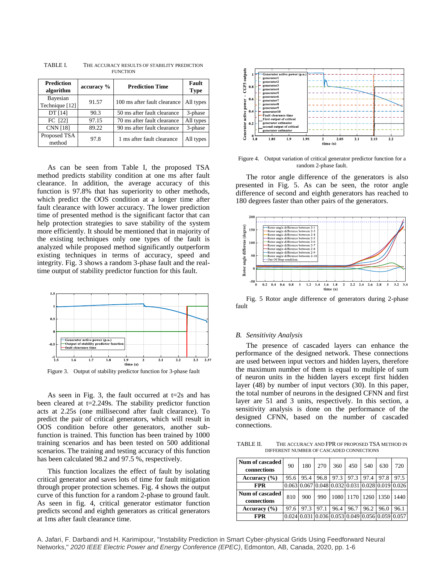| <b>Prediction</b><br>algorithm | accuracy % | <b>Prediction Time</b>       | Fault<br><b>Type</b> |
|--------------------------------|------------|------------------------------|----------------------|
| Bayesian<br>Technique [12]     | 91.57      | 100 ms after fault clearance | All types            |
| DT [14]                        | 90.3       | 50 ms after fault clearance  | 3-phase              |
| FC [22]                        | 97.15      | 70 ms after fault clearance  | All types            |
| <b>CNN [18]</b>                | 89.22      | 90 ms after fault clearance  | 3-phase              |
| Proposed TSA<br>method         | 97.8       | 1 ms after fault clearance   | All types            |

TABLE I. THE ACCURACY RESULTS OF STABILITY PREDICTION **FUNCTION** 

As can be seen from Table I, the proposed TSA method predicts stability condition at one ms after fault clearance. In addition, the average accuracy of this function is 97.8% that has superiority to other methods, which predict the OOS condition at a longer time after fault clearance with lower accuracy. The lower prediction time of presented method is the significant factor that can help protection strategies to save stability of the system more efficiently. It should be mentioned that in majority of the existing techniques only one types of the fault is analyzed while proposed method significantly outperform existing techniques in terms of accuracy, speed and integrity. Fig. 3 shows a random 3-phase fault and the realtime output of stability predictor function for this fault.



Figure 3. Output of stability predictor function for 3-phase fault

As seen in Fig. 3, the fault occurred at  $t=2s$  and has been cleared at t=2.249s. The stability predictor function acts at 2.25s (one millisecond after fault clearance). To predict the pair of critical generators, which will result in OOS condition before other generators, another subfunction is trained. This function has been trained by 1000 training scenarios and has been tested on 500 additional scenarios. The training and testing accuracy of this function has been calculated 98.2 and 97.5 %, respectively.

This function localizes the effect of fault by isolating critical generator and saves lots of time for fault mitigation through proper protection schemes. Fig. 4 shows the output curve of this function for a random 2-phase to ground fault. As seen in fig. 4, critical generator estimator function predicts second and eighth generators as critical generators at 1ms after fault clearance time.



Figure 4. Output variation of critical generator predictor function for a random 2-phase fault.

The rotor angle difference of the generators is also presented in Fig. 5. As can be seen, the rotor angle difference of second and eighth generators has reached to 180 degrees faster than other pairs of the generators.



Fig. 5 Rotor angle difference of generators during 2-phase fault

### *B. Sensitivity Analysis*

The presence of cascaded layers can enhance the performance of the designed network. These connections are used between input vectors and hidden layers, therefore the maximum number of them is equal to multiple of sum of neuron units in the hidden layers except first hidden layer (48) by number of input vectors (30). In this paper, the total number of neurons in the designed CFNN and first layer are 51 and 3 units, respectively. In this section, a sensitivity analysis is done on the performance of the designed CFNN, based on the number of cascaded connections.

TABLE II. THE ACCURACY AND FPR OF PROPOSED TSA METHOD IN DIFFERENT NUMBER OF CASCADED CONNECTIONS

| Num of cascaded<br>connections | 90   | 180  | 270  | 360  | 450       | 540                                                                                       | 630  | 720                                                                                  |
|--------------------------------|------|------|------|------|-----------|-------------------------------------------------------------------------------------------|------|--------------------------------------------------------------------------------------|
| Accuracy $(\% )$               | 95.6 | 95.4 | 96.8 |      | 97.3 97.3 | 97.4                                                                                      | 97.8 | 97.5                                                                                 |
| <b>FPR</b>                     |      |      |      |      |           |                                                                                           |      | $0.063 \mid 0.067 \mid 0.048 \mid 0.032 \mid 0.031 \mid 0.028 \mid 0.019 \mid 0.026$ |
| Num of cascaded<br>connections | 810  | 900  | 990  |      |           | 1080 1170 1260 1350                                                                       |      | 1440                                                                                 |
| Accuracy $(\% )$               | 97.6 | 97.3 | 97.1 | 96.4 | 96.7      | 96.2                                                                                      | 96.0 | 96.1                                                                                 |
| <b>FPR</b>                     |      |      |      |      |           | $0.024 \,   0.031 \,   0.036 \,   0.053 \,   0.049 \,   0.056 \,   0.059 \,   0.057 \,  $ |      |                                                                                      |

A. Jafari, F. Darbandi and H. Karimipour, "Instability Prediction in Smart Cyber-physical Grids Using Feedforward Neural Networks," *2020 IEEE Electric Power and Energy Conference (EPEC)*, Edmonton, AB, Canada, 2020, pp. 1-6